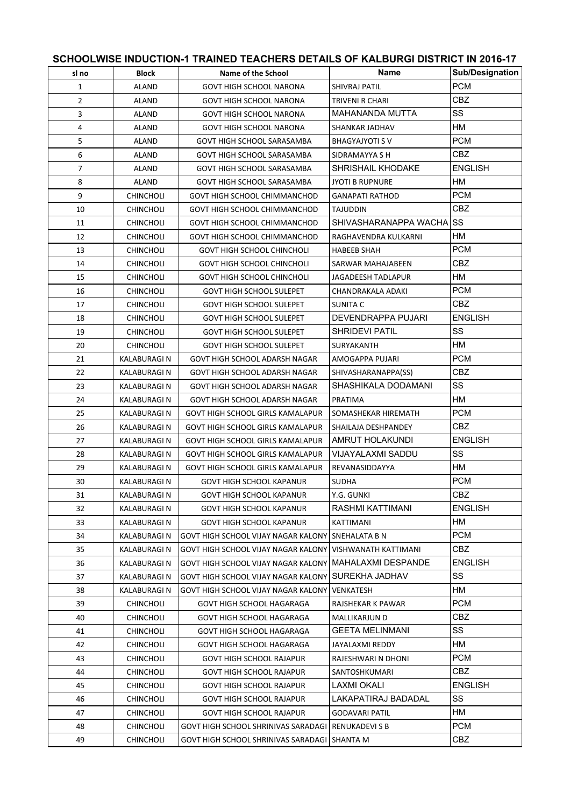| sl no          | <b>Block</b>       | SCHOOLWISE INDUCTION-1 TRAINED TEACHERS DETAILS OF KALBURGI DISTRICT IN 2016-17<br>Name of the School | Name                                | Sub/Designation |
|----------------|--------------------|-------------------------------------------------------------------------------------------------------|-------------------------------------|-----------------|
| $\mathbf{1}$   | <b>ALAND</b>       | <b>GOVT HIGH SCHOOL NARONA</b>                                                                        | <b>SHIVRAJ PATIL</b>                | <b>PCM</b>      |
| $\overline{2}$ | ALAND              | <b>GOVT HIGH SCHOOL NARONA</b>                                                                        | TRIVENI R CHARI                     | CBZ.            |
| 3              | ALAND              | <b>GOVT HIGH SCHOOL NARONA</b>                                                                        | MAHANANDA MUTTA                     | SS              |
| 4              | ALAND              | <b>GOVT HIGH SCHOOL NARONA</b>                                                                        | SHANKAR JADHAV                      | HМ              |
| 5              |                    |                                                                                                       |                                     | <b>PCM</b>      |
|                | ALAND              | GOVT HIGH SCHOOL SARASAMBA                                                                            | <b>BHAGYAJYOTI S V</b>              | CBZ.            |
| 6              | ALAND              | GOVT HIGH SCHOOL SARASAMBA                                                                            | SIDRAMAYYA S H<br>SHRISHAIL KHODAKE | <b>ENGLISH</b>  |
| $\overline{7}$ | ALAND              | GOVT HIGH SCHOOL SARASAMBA                                                                            |                                     | HM              |
| 8              | ALAND              | GOVT HIGH SCHOOL SARASAMBA                                                                            | <b>JYOTI B RUPNURE</b>              |                 |
| 9              | <b>CHINCHOLI</b>   | GOVT HIGH SCHOOL CHIMMANCHOD                                                                          | <b>GANAPATI RATHOD</b>              | <b>PCM</b>      |
| 10             | <b>CHINCHOLI</b>   | GOVT HIGH SCHOOL CHIMMANCHOD                                                                          | TAJUDDIN                            | CBZ.            |
| 11             | <b>CHINCHOLI</b>   | GOVT HIGH SCHOOL CHIMMANCHOD                                                                          | SHIVASHARANAPPA WACHA SS            |                 |
| 12             | CHINCHOLI          | GOVT HIGH SCHOOL CHIMMANCHOD                                                                          | RAGHAVENDRA KULKARNI                | HМ              |
| 13             | <b>CHINCHOLI</b>   | <b>GOVT HIGH SCHOOL CHINCHOLI</b>                                                                     | <b>HABEEB SHAH</b>                  | <b>PCM</b>      |
| 14             | <b>CHINCHOLI</b>   | <b>GOVT HIGH SCHOOL CHINCHOLI</b>                                                                     | SARWAR MAHAJABEEN                   | CBZ.            |
| 15             | CHINCHOLI          | <b>GOVT HIGH SCHOOL CHINCHOLI</b>                                                                     | JAGADEESH TADLAPUR                  | HМ              |
| 16             | <b>CHINCHOLI</b>   | <b>GOVT HIGH SCHOOL SULEPET</b>                                                                       | CHANDRAKALA ADAKI                   | <b>PCM</b>      |
| 17             | CHINCHOLI          | <b>GOVT HIGH SCHOOL SULEPET</b>                                                                       | SUNITA C                            | CBZ.            |
| 18             | CHINCHOLI          | <b>GOVT HIGH SCHOOL SULEPET</b>                                                                       | DEVENDRAPPA PUJARI                  | <b>ENGLISH</b>  |
| 19             | <b>CHINCHOLI</b>   | <b>GOVT HIGH SCHOOL SULEPET</b>                                                                       | <b>SHRIDEVI PATIL</b>               | SS              |
| 20             | <b>CHINCHOLI</b>   | <b>GOVT HIGH SCHOOL SULEPET</b>                                                                       | SURYAKANTH                          | HМ              |
| 21             | KALABURAGI N       | GOVT HIGH SCHOOL ADARSH NAGAR                                                                         | AMOGAPPA PUJARI                     | <b>PCM</b>      |
| 22             | KALABURAGI N       | GOVT HIGH SCHOOL ADARSH NAGAR                                                                         | SHIVASHARANAPPA(SS)                 | <b>CBZ</b>      |
| 23             | KALABURAGI N       | GOVT HIGH SCHOOL ADARSH NAGAR                                                                         | SHASHIKALA DODAMANI                 | SS              |
| 24             | KALABURAGI N       | GOVT HIGH SCHOOL ADARSH NAGAR                                                                         | PRATIMA                             | НM              |
| 25             | KALABURAGI N       | GOVT HIGH SCHOOL GIRLS KAMALAPUR                                                                      | SOMASHEKAR HIREMATH                 | PCM.            |
| 26             | <b>KALABURAGIN</b> | <b>GOVT HIGH SCHOOL GIRLS KAMALAPUR</b>                                                               | SHAILAJA DESHPANDEY                 | CBZ             |
| 27             | KALABURAGI N       | GOVT HIGH SCHOOL GIRLS KAMALAPUR                                                                      | AMRUT HOLAKUNDI                     | <b>ENGLISH</b>  |
| 28             | KALABURAGI N       | GOVT HIGH SCHOOL GIRLS KAMALAPUR                                                                      | VIJAYALAXMI SADDU                   | SS              |
| 29             | KALABURAGI N       | GOVT HIGH SCHOOL GIRLS KAMALAPUR                                                                      | REVANASIDDAYYA                      | HM              |
| 30             | <b>KALABURAGIN</b> | GOVT HIGH SCHOOL KAPANUR                                                                              | <b>SUDHA</b>                        | <b>PCM</b>      |
| 31             | <b>KALABURAGIN</b> | <b>GOVT HIGH SCHOOL KAPANUR</b>                                                                       | Y.G. GUNKI                          | <b>CBZ</b>      |
| 32             | KALABURAGI N       | <b>GOVT HIGH SCHOOL KAPANUR</b>                                                                       | RASHMI KATTIMANI                    | <b>ENGLISH</b>  |
| 33             | KALABURAGI N       | <b>GOVT HIGH SCHOOL KAPANUR</b>                                                                       | KATTIMANI                           | HМ              |
| 34             | KALABURAGI N       | GOVT HIGH SCHOOL VIJAY NAGAR KALONY                                                                   | SNEHALATA B N                       | <b>PCM</b>      |
| 35             | KALABURAGI N       | GOVT HIGH SCHOOL VIJAY NAGAR KALONY                                                                   | VISHWANATH KATTIMANI                | <b>CBZ</b>      |
| 36             | KALABURAGI N       | GOVT HIGH SCHOOL VIJAY NAGAR KALONY                                                                   | MAHALAXMI DESPANDE                  | ENGLISH         |
| 37             | KALABURAGI N       | GOVT HIGH SCHOOL VIJAY NAGAR KALONY                                                                   | SUREKHA JADHAV                      | SS              |
| 38             | KALABURAGI N       | GOVT HIGH SCHOOL VIJAY NAGAR KALONY                                                                   | VENKATESH                           | НM              |
| 39             | <b>CHINCHOLI</b>   | GOVT HIGH SCHOOL HAGARAGA                                                                             | RAJSHEKAR K PAWAR                   | <b>PCM</b>      |
| 40             | CHINCHOLI          | GOVT HIGH SCHOOL HAGARAGA                                                                             | MALLIKARJUN D                       | CBZ             |
| 41             | CHINCHOLI          | GOVT HIGH SCHOOL HAGARAGA                                                                             | GEETA MELINMANI                     | SS              |
| 42             | CHINCHOLI          | GOVT HIGH SCHOOL HAGARAGA                                                                             | JAYALAXMI REDDY                     | HМ              |
| 43             | <b>CHINCHOLI</b>   | <b>GOVT HIGH SCHOOL RAJAPUR</b>                                                                       | RAJESHWARI N DHONI                  | <b>PCM</b>      |
| 44             | CHINCHOLI          | <b>GOVT HIGH SCHOOL RAJAPUR</b>                                                                       | SANTOSHKUMARI                       | CBZ             |
| 45             | CHINCHOLI          | <b>GOVT HIGH SCHOOL RAJAPUR</b>                                                                       | <b>LAXMI OKALI</b>                  | <b>ENGLISH</b>  |
| 46             | <b>CHINCHOLI</b>   | <b>GOVT HIGH SCHOOL RAJAPUR</b>                                                                       | LAKAPATIRAJ BADADAL                 | SS              |
| 47             | CHINCHOLI          | <b>GOVT HIGH SCHOOL RAJAPUR</b>                                                                       | <b>GODAVARI PATIL</b>               | HМ              |
| 48             | CHINCHOLI          | GOVT HIGH SCHOOL SHRINIVAS SARADAGI                                                                   | RENUKADEVI S B                      | <b>PCM</b>      |
| 49             | CHINCHOLI          | GOVT HIGH SCHOOL SHRINIVAS SARADAGI   SHANTA M                                                        |                                     | CBZ             |
|                |                    |                                                                                                       |                                     |                 |